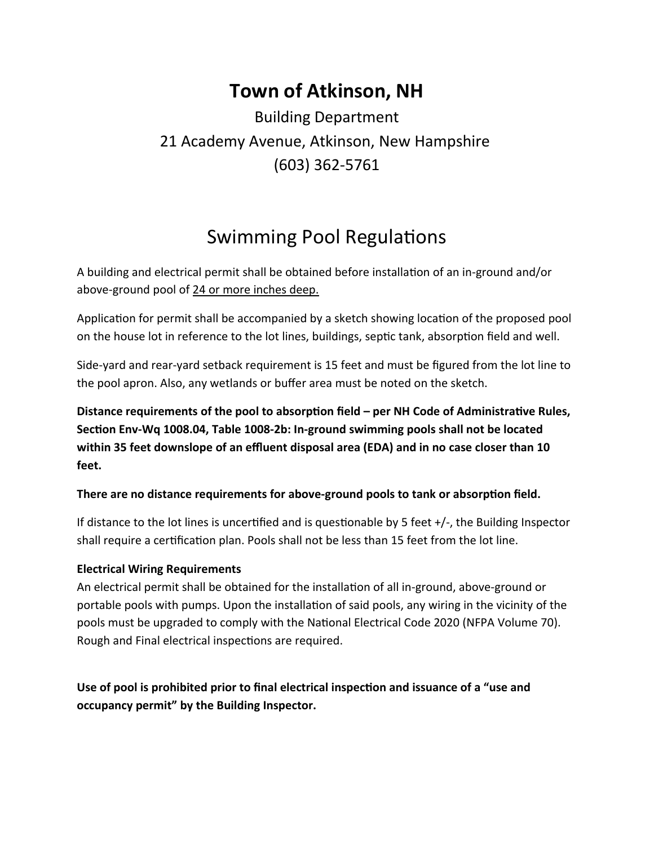## **Town of Atkinson, NH**

### Building Department 21 Academy Avenue, Atkinson, New Hampshire (603) 362-5761

## Swimming Pool Regulations

A building and electrical permit shall be obtained before installation of an in-ground and/or above-ground pool of 24 or more inches deep.

Application for permit shall be accompanied by a sketch showing location of the proposed pool on the house lot in reference to the lot lines, buildings, septic tank, absorption field and well.

Side-yard and rear-yard setback requirement is 15 feet and must be figured from the lot line to the pool apron. Also, any wetlands or buffer area must be noted on the sketch.

**Distance requirements of the pool to absorption field – per NH Code of Administrative Rules, SecƟon Env-Wq 1008.04, Table 1008-2b: In-ground swimming pools shall not be located within 35 feet downslope of an effluent disposal area (EDA) and in no case closer than 10 feet.**

#### **There are no distance requirements for above-ground pools to tank or absorption field.**

If distance to the lot lines is uncertified and is questionable by 5 feet  $+/-$ , the Building Inspector shall require a certification plan. Pools shall not be less than 15 feet from the lot line.

#### **Electrical Wiring Requirements**

An electrical permit shall be obtained for the installation of all in-ground, above-ground or portable pools with pumps. Upon the installation of said pools, any wiring in the vicinity of the pools must be upgraded to comply with the National Electrical Code 2020 (NFPA Volume 70). Rough and Final electrical inspections are required.

Use of pool is prohibited prior to final electrical inspection and issuance of a "use and **occupancy permit" by the Building Inspector.**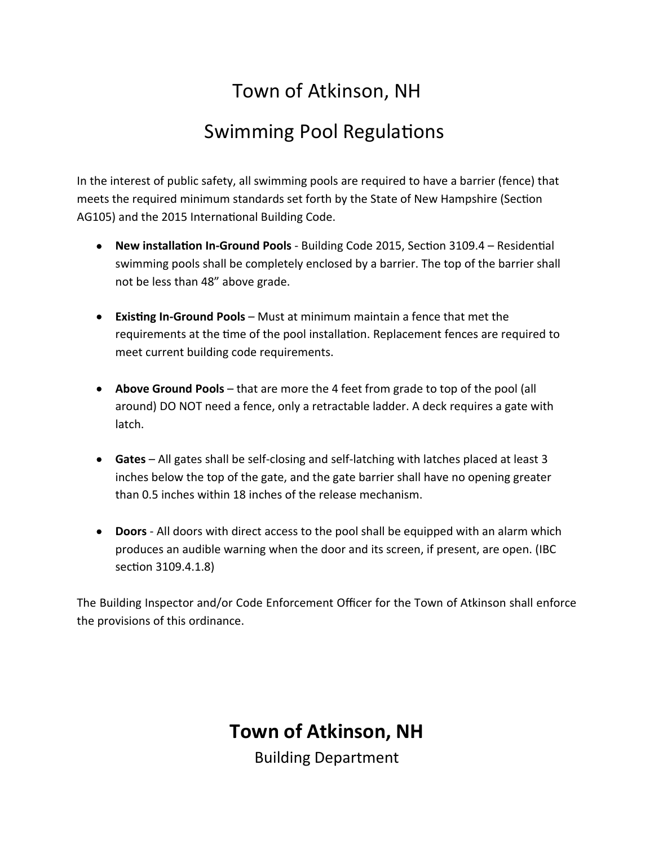# Town of Atkinson, NH

# Swimming Pool Regulations

In the interest of public safety, all swimming pools are required to have a barrier (fence) that meets the required minimum standards set forth by the State of New Hampshire (Section AG105) and the 2015 International Building Code.

- New installation In-Ground Pools Building Code 2015, Section 3109.4 Residential swimming pools shall be completely enclosed by a barrier. The top of the barrier shall not be less than 48" above grade.
- **Existing In-Ground Pools** Must at minimum maintain a fence that met the requirements at the time of the pool installation. Replacement fences are required to meet current building code requirements.
- **Above Ground Pools**  that are more the 4 feet from grade to top of the pool (all around) DO NOT need a fence, only a retractable ladder. A deck requires a gate with latch.
- **Gates**  All gates shall be self-closing and self-latching with latches placed at least 3 inches below the top of the gate, and the gate barrier shall have no opening greater than 0.5 inches within 18 inches of the release mechanism.
- **Doors** All doors with direct access to the pool shall be equipped with an alarm which produces an audible warning when the door and its screen, if present, are open. (IBC section 3109.4.1.8)

The Building Inspector and/or Code Enforcement Officer for the Town of Atkinson shall enforce the provisions of this ordinance.

### **Town of Atkinson, NH**

Building Department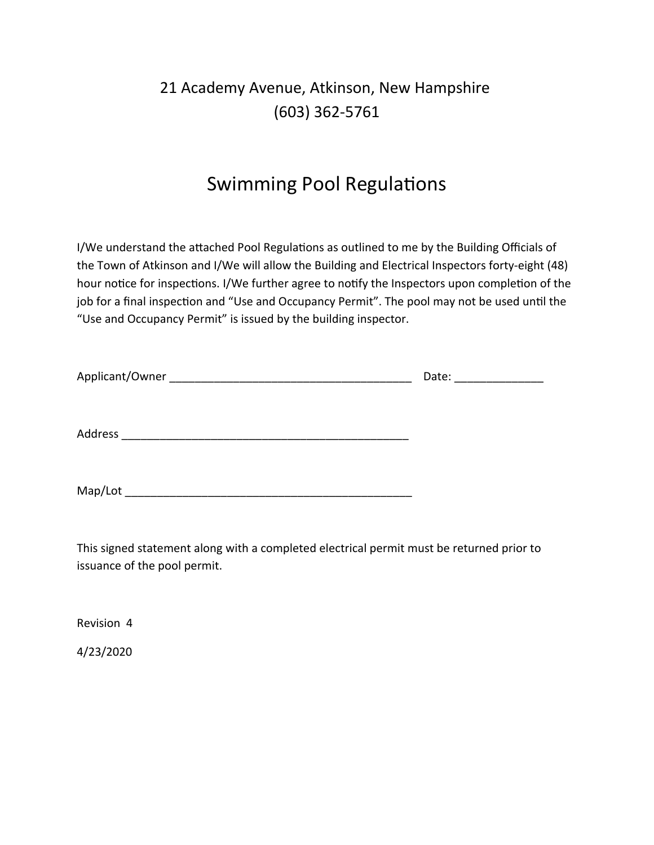### 21 Academy Avenue, Atkinson, New Hampshire (603) 362-5761

### Swimming Pool Regulations

I/We understand the attached Pool Regulations as outlined to me by the Building Officials of the Town of Atkinson and I/We will allow the Building and Electrical Inspectors forty-eight (48) hour notice for inspections. I/We further agree to notify the Inspectors upon completion of the job for a final inspection and "Use and Occupancy Permit". The pool may not be used until the "Use and Occupancy Permit" is issued by the building inspector.

|         | Date: |
|---------|-------|
|         |       |
| Address |       |
|         |       |
| Map/Lot |       |

This signed statement along with a completed electrical permit must be returned prior to issuance of the pool permit.

Revision 4

4/23/2020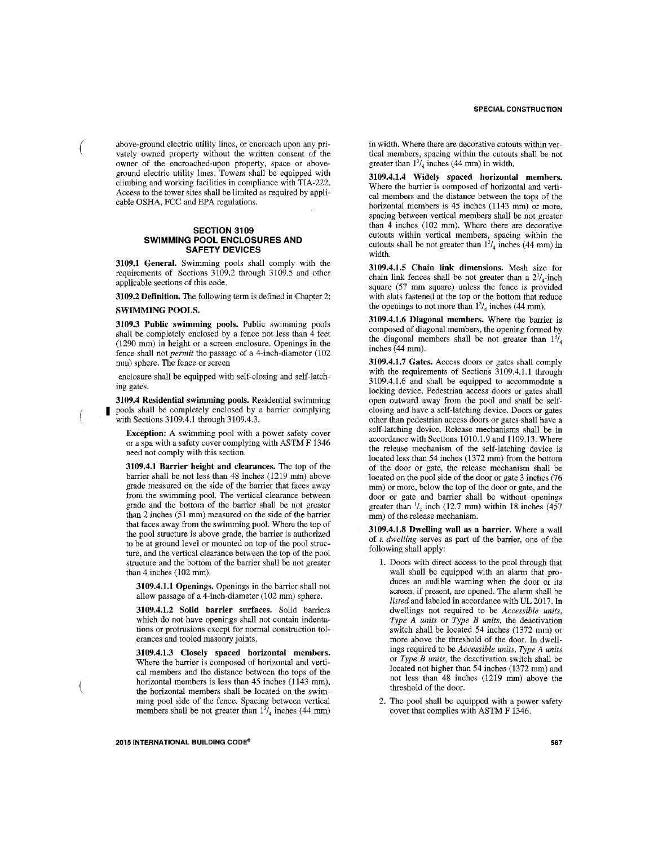above-ground electric utility lines, or encroach upon any privately owned property without the written consent of the owner of the encroached-upon property, space or aboveground electric utility lines. Towers shall be equipped with climbing and working facilities in compliance with TIA-222. Access to the tower sites shall be limited as required by applicable OSHA, FCC and EPA regulations.

#### **SECTION 3109 SWIMMING POOL ENCLOSURES AND SAFETY DEVICES**

3109.1 General. Swimming pools shall comply with the requirements of Sections 3109.2 through 3109.5 and other applicable sections of this code.

3109.2 Definition. The following term is defined in Chapter 2: **SWIMMING POOLS.** 

 $\left($ 

3109.3 Public swimming pools. Public swimming pools shall be completely enclosed by a fence not less than 4 feet (1290 mm) in height or a screen enclosure. Openings in the fence shall not *permit* the passage of a 4-inch-diameter (102 mm) sphere. The fence or screen

enclosure shall be equipped with self-closing and self-latching gates.

3109.4 Residential swimming pools. Residential swimming pools shall be completely enclosed by a barrier complying with Sections 3109.4.1 through 3109.4.3.

Exception: A swimming pool with a power safety cover or a spa with a safety cover complying with ASTM F 1346 need not comply with this section.

3109.4.1 Barrier height and clearances. The top of the barrier shall be not less than 48 inches (1219 mm) above grade measured on the side of the barrier that faces away from the swimming pool. The vertical clearance between grade and the bottom of the barrier shall be not greater than 2 inches (51 mm) measured on the side of the barrier that faces away from the swimming pool. Where the top of the pool structure is above grade, the barrier is authorized to be at ground level or mounted on top of the pool structure, and the vertical clearance between the top of the pool structure and the bottom of the barrier shall be not greater than 4 inches (102 mm).

3109.4.1.1 Openings. Openings in the barrier shall not allow passage of a 4-inch-diameter (102 mm) sphere.

3109.4.1.2 Solid barrier surfaces. Solid barriers which do not have openings shall not contain indentations or protrusions except for normal construction tolerances and tooled masonry joints.

3109.4.1.3 Closely spaced horizontal members. Where the barrier is composed of horizontal and vertical members and the distance between the tops of the horizontal members is less than 45 inches (1143 mm), the horizontal members shall be located on the swimming pool side of the fence. Spacing between vertical members shall be not greater than  $1\frac{3}{4}$  inches (44 mm) in width. Where there are decorative cutouts within vertical members, spacing within the cutouts shall be not greater than  $1\frac{3}{4}$  inches (44 mm) in width.

3109.4.1.4 Widely spaced horizontal members. Where the barrier is composed of horizontal and vertical members and the distance between the tops of the horizontal members is 45 inches (1143 mm) or more, spacing between vertical members shall be not greater than 4 inches (102 mm). Where there are decorative cutouts within vertical members, spacing within the cutouts shall be not greater than  $1^3/4$  inches (44 mm) in width.

3109.4.1.5 Chain link dimensions. Mesh size for chain link fences shall be not greater than a  $2^{1}/_{4}$ -inch square (57 mm square) unless the fence is provided with slats fastened at the top or the bottom that reduce the openings to not more than  $1\frac{3}{4}$  inches (44 mm).

3109.4.1.6 Diagonal members. Where the barrier is composed of diagonal members, the opening formed by the diagonal members shall be not greater than  $1^{3}/_{4}$ inches (44 mm).

3109.4.1.7 Gates. Access doors or gates shall comply with the requirements of Sections 3109.4.1.1 through  $3109.4.1.6$  and shall be equipped to accommodate a locking device. Pedestrian access doors or gates shall open outward away from the pool and shall be selfclosing and have a self-latching device. Doors or gates other than pedestrian access doors or gates shall have a self-latching device. Release mechanisms shall be in accordance with Sections 1010.1.9 and 1109.13. Where the release mechanism of the self-latching device is located less than 54 inches (1372 mm) from the bottom of the door or gate, the release mechanism shall be located on the pool side of the door or gate 3 inches (76 mm) or more, below the top of the door or gate, and the door or gate and barrier shall be without openings greater than  $\frac{1}{2}$  inch (12.7 mm) within 18 inches (457 mm) of the release mechanism.

3109.4.1.8 Dwelling wall as a barrier. Where a wall of a dwelling serves as part of the barrier, one of the following shall apply:

- 1. Doors with direct access to the pool through that wall shall be equipped with an alarm that produces an audible warning when the door or its screen, if present, are opened. The alarm shall be listed and labeled in accordance with UL 2017. In dwellings not required to be Accessible units, Type A units or Type B units, the deactivation switch shall be located 54 inches (1372 mm) or more above the threshold of the door. In dwellings required to be Accessible units, Type A units or Type B units, the deactivation switch shall be located not higher than 54 inches (1372 mm) and not less than 48 inches (1219 mm) above the threshold of the door.
- 2. The pool shall be equipped with a power safety cover that complies with ASTM F 1346.